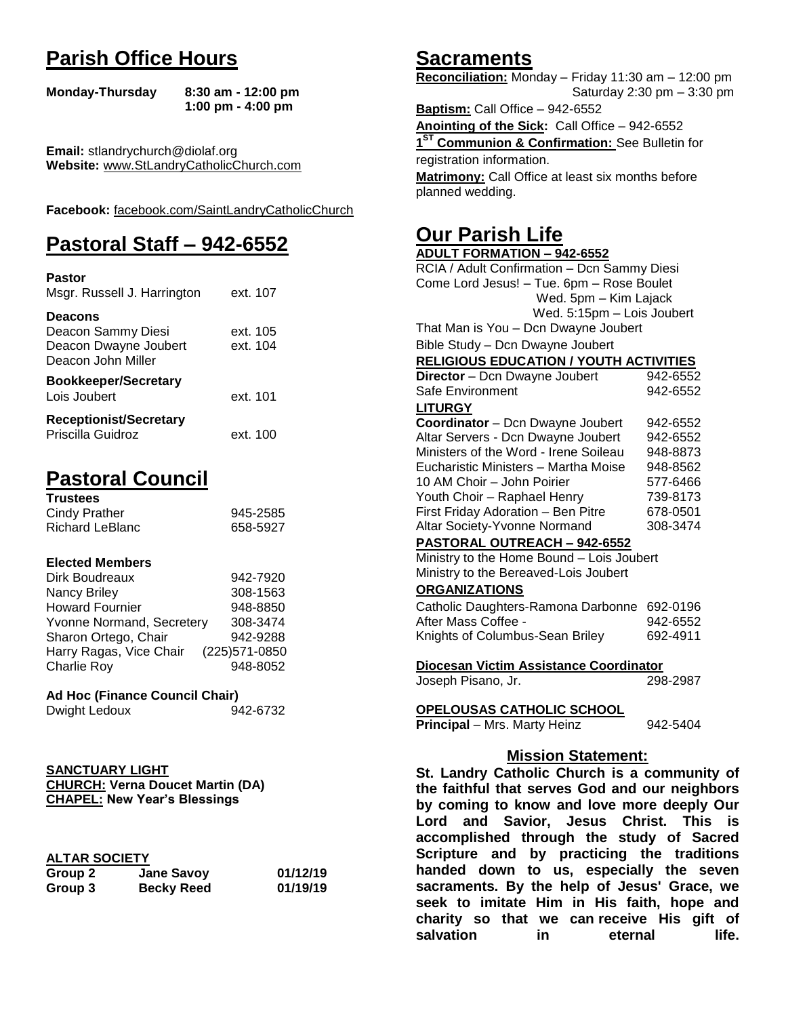# **Parish Office Hours**

```
Monday-Thursday 8:30 am - 12:00 pm
       1:00 pm - 4:00 pm
```
**Email:** stlandrychurch@diolaf.org **Website:** [www.StLandryCatholicChurch.com](http://www.stlandrycatholicchurch.com/)

**Facebook:** [facebook.com/SaintLandryCatholicChurch](http://facebook.com/SaintLandryCatholicChurch)

# **Pastoral Staff – 942-6552**

| <b>Pastor</b><br>Msgr. Russell J. Harrington                                        | ext. 107             |
|-------------------------------------------------------------------------------------|----------------------|
| <b>Deacons</b><br>Deacon Sammy Diesi<br>Deacon Dwayne Joubert<br>Deacon John Miller | ext. 105<br>ext. 104 |
| <b>Bookkeeper/Secretary</b><br>Lois Joubert                                         | ext. 101             |
| <b>Receptionist/Secretary</b><br>Priscilla Guidroz                                  | ext. 100             |

# **Pastoral Council**

| <b>Trustees</b> |          |
|-----------------|----------|
| Cindy Prather   | 945-2585 |
| Richard LeBlanc | 658-5927 |

#### **Elected Members**

| Dirk Boudreaux            | 942-7920       |
|---------------------------|----------------|
| Nancy Briley              | 308-1563       |
| <b>Howard Fournier</b>    | 948-8850       |
| Yvonne Normand, Secretery | 308-3474       |
| Sharon Ortego, Chair      | 942-9288       |
| Harry Ragas, Vice Chair   | (225) 571-0850 |
| <b>Charlie Roy</b>        | 948-8052       |

#### **Ad Hoc (Finance Council Chair)**

```
Dwight Ledoux 942-6732
```
#### **SANCTUARY LIGHT CHURCH: Verna Doucet Martin (DA) CHAPEL: New Year's Blessings**

|--|

| .       |                   |          |
|---------|-------------------|----------|
| Group 2 | <b>Jane Savoy</b> | 01/12/19 |
| Group 3 | <b>Becky Reed</b> | 01/19/19 |

## **Sacraments**

**Reconciliation:** Monday – Friday 11:30 am – 12:00 pm Saturday 2:30 pm – 3:30 pm

**Baptism:** Call Office – 942-6552 **Anointing of the Sick:** Call Office – 942-6552 **1 ST Communion & Confirmation:** See Bulletin for registration information. **Matrimony:** Call Office at least six months before planned wedding.

## **Our Parish Life**

| <b>ADULT FORMATION - 942-6552</b>              |          |  |
|------------------------------------------------|----------|--|
| RCIA / Adult Confirmation - Dcn Sammy Diesi    |          |  |
| Come Lord Jesus! - Tue. 6pm - Rose Boulet      |          |  |
| Wed. 5pm - Kim Lajack                          |          |  |
| Wed. 5:15pm - Lois Joubert                     |          |  |
| That Man is You - Dcn Dwayne Joubert           |          |  |
| Bible Study - Dcn Dwayne Joubert               |          |  |
| <b>RELIGIOUS EDUCATION / YOUTH ACTIVITIES</b>  |          |  |
| Director - Dcn Dwayne Joubert                  | 942-6552 |  |
| Safe Environment                               | 942-6552 |  |
| <b>LITURGY</b>                                 |          |  |
| Coordinator - Dcn Dwayne Joubert               | 942-6552 |  |
| Altar Servers - Dcn Dwayne Joubert             | 942-6552 |  |
| Ministers of the Word - Irene Soileau          | 948-8873 |  |
| Eucharistic Ministers - Martha Moise           | 948-8562 |  |
| 10 AM Choir - John Poirier                     | 577-6466 |  |
| Youth Choir - Raphael Henry<br>739-8173        |          |  |
| First Friday Adoration - Ben Pitre             | 678-0501 |  |
| Altar Society-Yvonne Normand<br>308-3474       |          |  |
| PASTORAL OUTREACH - 942-6552                   |          |  |
| Ministry to the Home Bound - Lois Joubert      |          |  |
| Ministry to the Bereaved-Lois Joubert          |          |  |
| <b>ORGANIZATIONS</b>                           |          |  |
| Catholic Daughters-Ramona Darbonne 692-0196    |          |  |
| After Mass Coffee -                            | 942-6552 |  |
| Knights of Columbus-Sean Briley                | 692-4911 |  |
|                                                |          |  |
| Diocesan Victim Assistance Coordinator         |          |  |
| Joseph Pisano, Jr.                             | 298-2987 |  |
|                                                |          |  |
| OPELOUSAS CATHOLIC SCHOOL                      |          |  |
| Principal - Mrs. Marty Heinz<br>942-5404       |          |  |
|                                                |          |  |
| <b>Mission Statement:</b>                      |          |  |
| St. Landry Catholic Church is a community of   |          |  |
| the faithful that serves God and our neighbors |          |  |
| by coming to know and love more deeply Our     |          |  |
| Lord and Savior, Jesus Christ. This is         |          |  |
| cocomplished through the study of Coered       |          |  |

**Lord and Savior, Jesus Christ. This is accomplished through the study of Sacred Scripture and by practicing the traditions handed down to us, especially the seven sacraments. By the help of Jesus' Grace, we seek to imitate Him in His faith, hope and charity so that we can receive His gift of salvation in** eternal life.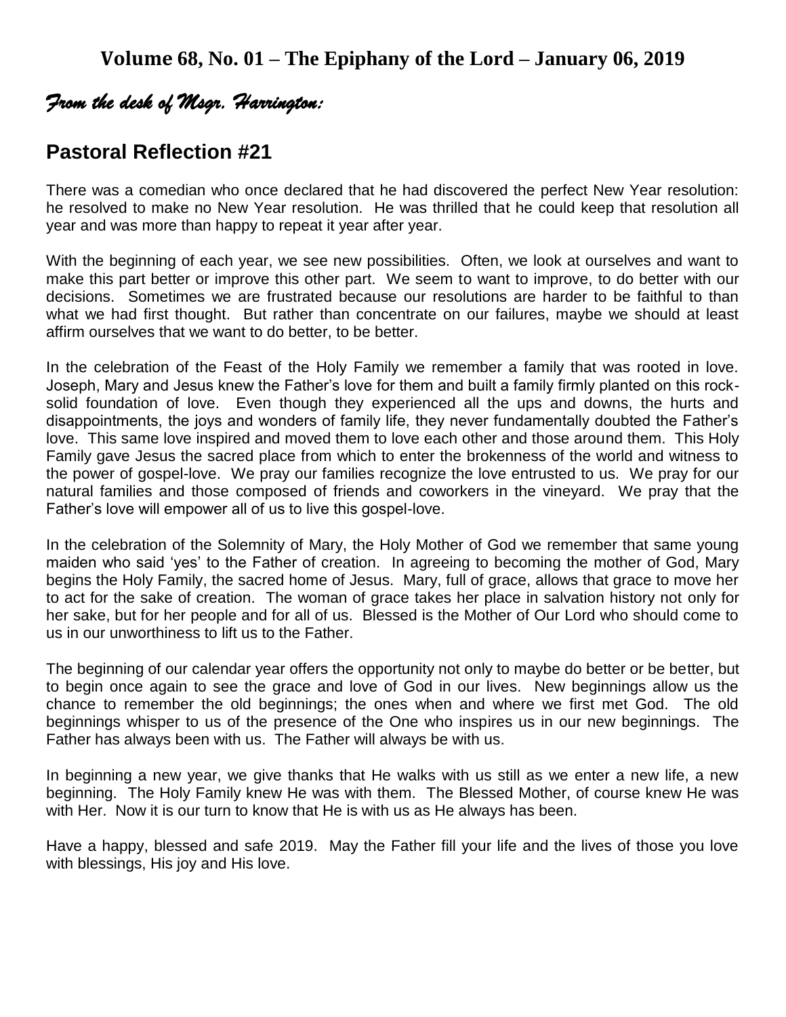## *From the desk of Msgr. Harrington:*

## **Pastoral Reflection #21**

There was a comedian who once declared that he had discovered the perfect New Year resolution: he resolved to make no New Year resolution. He was thrilled that he could keep that resolution all year and was more than happy to repeat it year after year.

With the beginning of each year, we see new possibilities. Often, we look at ourselves and want to make this part better or improve this other part. We seem to want to improve, to do better with our decisions. Sometimes we are frustrated because our resolutions are harder to be faithful to than what we had first thought. But rather than concentrate on our failures, maybe we should at least affirm ourselves that we want to do better, to be better.

In the celebration of the Feast of the Holy Family we remember a family that was rooted in love. Joseph, Mary and Jesus knew the Father's love for them and built a family firmly planted on this rocksolid foundation of love. Even though they experienced all the ups and downs, the hurts and disappointments, the joys and wonders of family life, they never fundamentally doubted the Father's love. This same love inspired and moved them to love each other and those around them. This Holy Family gave Jesus the sacred place from which to enter the brokenness of the world and witness to the power of gospel-love. We pray our families recognize the love entrusted to us. We pray for our natural families and those composed of friends and coworkers in the vineyard. We pray that the Father's love will empower all of us to live this gospel-love.

In the celebration of the Solemnity of Mary, the Holy Mother of God we remember that same young maiden who said 'yes' to the Father of creation. In agreeing to becoming the mother of God, Mary begins the Holy Family, the sacred home of Jesus. Mary, full of grace, allows that grace to move her to act for the sake of creation. The woman of grace takes her place in salvation history not only for her sake, but for her people and for all of us. Blessed is the Mother of Our Lord who should come to us in our unworthiness to lift us to the Father.

The beginning of our calendar year offers the opportunity not only to maybe do better or be better, but to begin once again to see the grace and love of God in our lives. New beginnings allow us the chance to remember the old beginnings; the ones when and where we first met God. The old beginnings whisper to us of the presence of the One who inspires us in our new beginnings. The Father has always been with us. The Father will always be with us.

In beginning a new year, we give thanks that He walks with us still as we enter a new life, a new beginning. The Holy Family knew He was with them. The Blessed Mother, of course knew He was with Her. Now it is our turn to know that He is with us as He always has been.

Have a happy, blessed and safe 2019. May the Father fill your life and the lives of those you love with blessings, His joy and His love.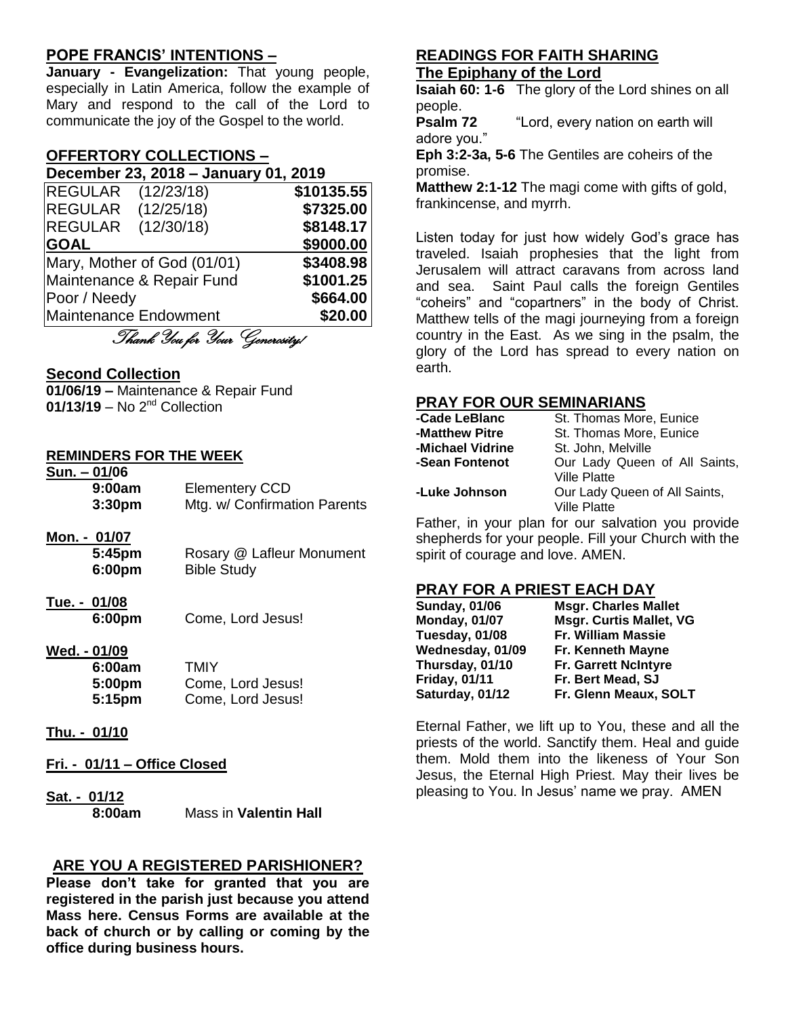## **POPE FRANCIS' INTENTIONS –**

**January - Evangelization:** That young people, especially in Latin America, follow the example of Mary and respond to the call of the Lord to communicate the joy of the Gospel to the world.

## **OFFERTORY COLLECTIONS –**

| December 23, 2018 - January 01, 2019 |            |
|--------------------------------------|------------|
| REGULAR (12/23/18)                   | \$10135.55 |
| (12/25/18)<br><b>REGULAR</b>         | \$7325.00  |
| (12/30/18)<br><b>REGULAR</b>         | \$8148.17  |
| <b>GOAL</b>                          | \$9000.00  |
| Mary, Mother of God (01/01)          | \$3408.98  |
| Maintenance & Repair Fund            | \$1001.25  |

Poor / Needy **\$664.00** Maintenance Endowment **\$20.00**

Thank You for Your Generosity!

#### **Second Collection**

**01/06/19 –** Maintenance & Repair Fund **01/13/19** – No 2nd Collection

#### **REMINDERS FOR THE WEEK**

**Sun. – 01/06**

| 9:00am<br>3:30pm                        | <b>Elementery CCD</b><br>Mtg. w/ Confirmation Parents |
|-----------------------------------------|-------------------------------------------------------|
| <u>Mon. - 01/07</u><br>5:45pm<br>6:00pm | Rosary @ Lafleur Monument<br><b>Bible Study</b>       |
| Tue. - 01/08<br>6:00pm                  | Come, Lord Jesus!                                     |

**Wed. - 01/09**

| 6:00am | TMIY              |
|--------|-------------------|
| 5:00pm | Come, Lord Jesus! |
| 5:15pm | Come, Lord Jesus! |

- **Thu. - 01/10**
- **Fri. - 01/11 – Office Closed**
- **Sat. - 01/12**

**8:00am** Mass in **Valentin Hall**

## **ARE YOU A REGISTERED PARISHIONER?**

**Please don't take for granted that you are registered in the parish just because you attend Mass here. Census Forms are available at the back of church or by calling or coming by the office during business hours.**

#### **READINGS FOR FAITH SHARING The Epiphany of the Lord**

**Isaiah 60: 1-6** The glory of the Lord shines on all people.

**Psalm 72** "Lord, every nation on earth will adore you."

**Eph 3:2-3a, 5-6** The Gentiles are coheirs of the promise.

**Matthew 2:1-12** The magi come with gifts of gold, frankincense, and myrrh.

Listen today for just how widely God's grace has traveled. Isaiah prophesies that the light from Jerusalem will attract caravans from across land and sea. Saint Paul calls the foreign Gentiles "coheirs" and "copartners" in the body of Christ. Matthew tells of the magi journeying from a foreign country in the East. As we sing in the psalm, the glory of the Lord has spread to every nation on earth.

#### **PRAY FOR OUR SEMINARIANS**

| -Cade LeBlanc    | St. Thomas More, Eunice       |
|------------------|-------------------------------|
| -Matthew Pitre   | St. Thomas More, Eunice       |
| -Michael Vidrine | St. John, Melville            |
| -Sean Fontenot   | Our Lady Queen of All Saints, |
|                  | <b>Ville Platte</b>           |
| -Luke Johnson    | Our Lady Queen of All Saints, |
|                  | <b>Ville Platte</b>           |
|                  |                               |

Father, in your plan for our salvation you provide shepherds for your people. Fill your Church with the spirit of courage and love. AMEN.

#### **PRAY FOR A PRIEST EACH DAY**

| <b>Sunday, 01/06</b> | <b>Msgr. Charles Mallet</b>    |
|----------------------|--------------------------------|
| <b>Monday, 01/07</b> | <b>Msgr. Curtis Mallet, VG</b> |
| Tuesday, 01/08       | Fr. William Massie             |
| Wednesday, 01/09     | Fr. Kenneth Mayne              |
| Thursday, 01/10      | <b>Fr. Garrett NcIntyre</b>    |
| <b>Friday, 01/11</b> | Fr. Bert Mead, SJ              |
| Saturday, 01/12      | Fr. Glenn Meaux, SOLT          |

Eternal Father, we lift up to You, these and all the priests of the world. Sanctify them. Heal and guide them. Mold them into the likeness of Your Son Jesus, the Eternal High Priest. May their lives be pleasing to You. In Jesus' name we pray. AMEN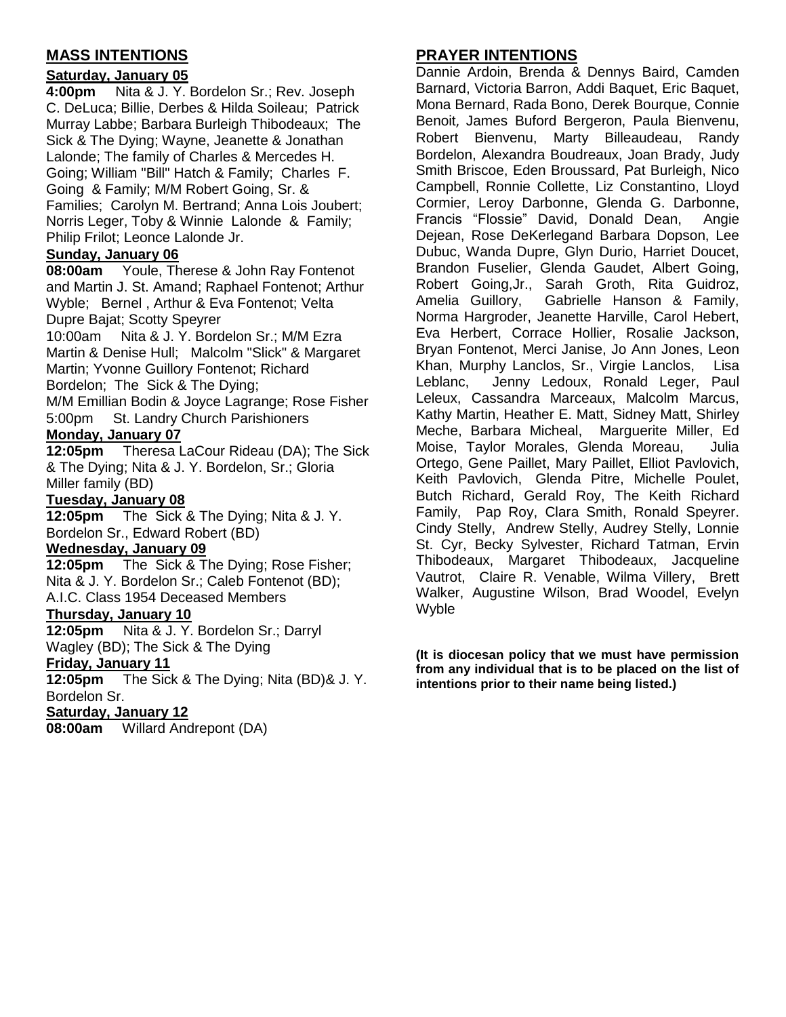## **MASS INTENTIONS**

### **Saturday, January 05**

**4:00pm** Nita & J. Y. Bordelon Sr.; Rev. Joseph C. DeLuca; Billie, Derbes & Hilda Soileau; Patrick Murray Labbe; Barbara Burleigh Thibodeaux; The Sick & The Dying; Wayne, Jeanette & Jonathan Lalonde; The family of Charles & Mercedes H. Going; William "Bill" Hatch & Family; Charles F. Going & Family; M/M Robert Going, Sr. & Families; Carolyn M. Bertrand; Anna Lois Joubert; Norris Leger, Toby & Winnie Lalonde & Family; Philip Frilot; Leonce Lalonde Jr.

### **Sunday, January 06**

**08:00am** Youle, Therese & John Ray Fontenot and Martin J. St. Amand; Raphael Fontenot; Arthur Wyble; Bernel , Arthur & Eva Fontenot; Velta Dupre Bajat; Scotty Speyrer

10:00am Nita & J. Y. Bordelon Sr.; M/M Ezra Martin & Denise Hull; Malcolm "Slick" & Margaret Martin; Yvonne Guillory Fontenot; Richard Bordelon; The Sick & The Dying;

M/M Emillian Bodin & Joyce Lagrange; Rose Fisher 5:00pm St. Landry Church Parishioners

#### **Monday, January 07**

**12:05pm** Theresa LaCour Rideau (DA); The Sick & The Dying; Nita & J. Y. Bordelon, Sr.; Gloria Miller family (BD)

### **Tuesday, January 08**

**12:05pm** The Sick & The Dying; Nita & J. Y. Bordelon Sr., Edward Robert (BD)

#### **Wednesday, January 09**

**12:05pm** The Sick & The Dying; Rose Fisher; Nita & J. Y. Bordelon Sr.; Caleb Fontenot (BD); A.I.C. Class 1954 Deceased Members

#### **Thursday, January 10**

**12:05pm** Nita & J. Y. Bordelon Sr.; Darryl Wagley (BD); The Sick & The Dying

#### **Friday, January 11**

**12:05pm** The Sick & The Dying; Nita (BD)& J. Y. Bordelon Sr.

### **Saturday, January 12**

**08:00am** Willard Andrepont (DA)

## **PRAYER INTENTIONS**

Dannie Ardoin, Brenda & Dennys Baird, Camden Barnard, Victoria Barron, Addi Baquet, Eric Baquet, Mona Bernard, Rada Bono, Derek Bourque, Connie Benoit, James Buford Bergeron, Paula Bienvenu, Robert Bienvenu, Marty Billeaudeau, Randy Bordelon, Alexandra Boudreaux, Joan Brady, Judy Smith Briscoe, Eden Broussard, Pat Burleigh, Nico Campbell, Ronnie Collette, Liz Constantino, Lloyd Cormier, Leroy Darbonne, Glenda G. Darbonne, Francis "Flossie" David, Donald Dean, Angie Dejean, Rose DeKerlegand Barbara Dopson, Lee Dubuc, Wanda Dupre, Glyn Durio, Harriet Doucet, Brandon Fuselier, Glenda Gaudet, Albert Going, Robert Going,Jr., Sarah Groth, Rita Guidroz, Amelia Guillory, Gabrielle Hanson & Family, Norma Hargroder, Jeanette Harville, Carol Hebert, Eva Herbert, Corrace Hollier, Rosalie Jackson, Bryan Fontenot, Merci Janise, Jo Ann Jones, Leon Khan, Murphy Lanclos, Sr., Virgie Lanclos, Lisa Leblanc, Jenny Ledoux, Ronald Leger, Paul Leleux, Cassandra Marceaux, Malcolm Marcus, Kathy Martin, Heather E. Matt, Sidney Matt, Shirley Meche, Barbara Micheal, Marguerite Miller, Ed Moise, Taylor Morales, Glenda Moreau, Julia Ortego, Gene Paillet, Mary Paillet, Elliot Pavlovich, Keith Pavlovich, Glenda Pitre, Michelle Poulet, Butch Richard, Gerald Roy, The Keith Richard Family, Pap Roy, Clara Smith, Ronald Speyrer. Cindy Stelly, Andrew Stelly, Audrey Stelly, Lonnie St. Cyr, Becky Sylvester, Richard Tatman, Ervin Thibodeaux, Margaret Thibodeaux, Jacqueline Vautrot, Claire R. Venable, Wilma Villery, Brett Walker, Augustine Wilson, Brad Woodel, Evelyn Wyble

**(It is diocesan policy that we must have permission from any individual that is to be placed on the list of intentions prior to their name being listed.)**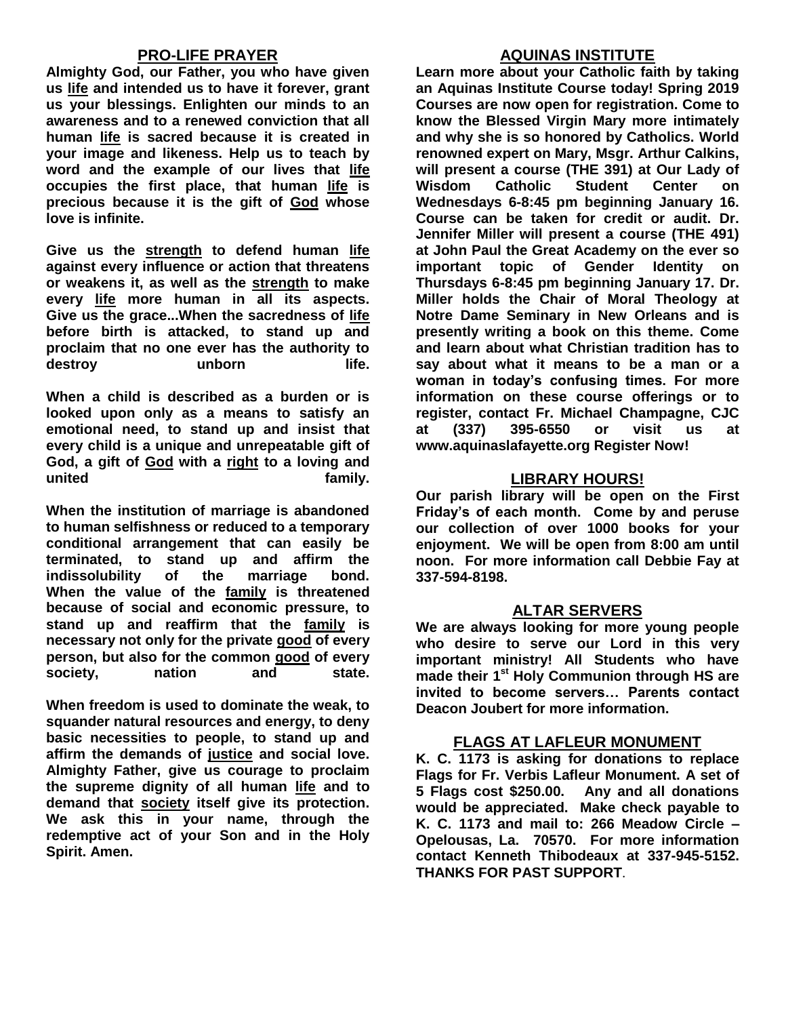## **PRO-LIFE PRAYER**

**Almighty God, our Father, you who have given us [life](https://www.catholic.org/encyclopedia/view.php?id=7101) and intended us to have it forever, grant us your blessings. Enlighten our minds to an awareness and to a renewed conviction that all human [life](https://www.catholic.org/encyclopedia/view.php?id=7101) is sacred because it is created in your image and likeness. Help us to teach by word and the example of our lives that [life](https://www.catholic.org/encyclopedia/view.php?id=7101) occupies the first place, that human [life](https://www.catholic.org/encyclopedia/view.php?id=7101) is precious because it is the gift of [God](https://www.catholic.org/encyclopedia/view.php?id=5217) whose love is infinite.** 

**Give us the [strength](https://www.catholic.org/prayers/prayer.php?p=2917) to defend human [life](https://www.catholic.org/encyclopedia/view.php?id=7101) against every influence or action that threatens or weakens it, as well as the [strength](https://www.catholic.org/prayers/prayer.php?p=2917) to make every [life](https://www.catholic.org/encyclopedia/view.php?id=7101) more human in all its aspects. Give us the grace...When the sacredness of [life](https://www.catholic.org/encyclopedia/view.php?id=7101) before birth is attacked, to stand up and proclaim that no one ever has the authority to**  destroy unborn life.

**When a child is described as a burden or is looked upon only as a means to satisfy an emotional need, to stand up and insist that every child is a unique and unrepeatable gift of God, a gift of [God](https://www.catholic.org/encyclopedia/view.php?id=5217) with a [right](https://www.catholic.org/encyclopedia/view.php?id=10046) to a loving and united family.** 

**When the institution of marriage is abandoned to human selfishness or reduced to a temporary conditional arrangement that can easily be terminated, to stand up and affirm the indissolubility of the marriage bond. When the value of the [family](https://www.catholic.org/encyclopedia/view.php?id=4568) is threatened because of social and economic pressure, to stand up and reaffirm that the [family](https://www.catholic.org/encyclopedia/view.php?id=4568) is necessary not only for the private [good](https://www.catholic.org/encyclopedia/view.php?id=5257) of every person, but also for the common [good](https://www.catholic.org/encyclopedia/view.php?id=5257) of every society, nation and state.**

**When freedom is used to dominate the weak, to squander natural resources and energy, to deny basic necessities to people, to stand up and affirm the demands of [justice](https://www.catholic.org/encyclopedia/view.php?id=6550) and social love. Almighty Father, give us courage to proclaim the supreme dignity of all human [life](https://www.catholic.org/encyclopedia/view.php?id=7101) and to demand that [society](https://www.catholic.org/encyclopedia/view.php?id=10913) itself give its protection. We ask this in your name, through the redemptive act of your Son and in the Holy Spirit. Amen.**

### **AQUINAS INSTITUTE**

**Learn more about your Catholic faith by taking an Aquinas Institute Course today! Spring 2019 Courses are now open for registration. Come to know the Blessed Virgin Mary more intimately and why she is so honored by Catholics. World renowned expert on Mary, Msgr. Arthur Calkins, will present a course (THE 391) at Our Lady of Wisdom Catholic Student Center on Wednesdays 6-8:45 pm beginning January 16. Course can be taken for credit or audit. Dr. Jennifer Miller will present a course (THE 491) at John Paul the Great Academy on the ever so important topic of Gender Identity on Thursdays 6-8:45 pm beginning January 17. Dr. Miller holds the Chair of Moral Theology at Notre Dame Seminary in New Orleans and is presently writing a book on this theme. Come and learn about what Christian tradition has to say about what it means to be a man or a woman in today's confusing times. For more information on these course offerings or to register, contact Fr. Michael Champagne, CJC at (337) 395-6550 or visit us at www.aquinaslafayette.org Register Now!**

## **LIBRARY HOURS!**

**Our parish library will be open on the First Friday's of each month. Come by and peruse our collection of over 1000 books for your enjoyment. We will be open from 8:00 am until noon. For more information call Debbie Fay at 337-594-8198.**

## **ALTAR SERVERS**

**We are always looking for more young people who desire to serve our Lord in this very important ministry! All Students who have made their 1st Holy Communion through HS are invited to become servers… Parents contact Deacon Joubert for more information.**

#### **FLAGS AT LAFLEUR MONUMENT**

**K. C. 1173 is asking for donations to replace Flags for Fr. Verbis Lafleur Monument. A set of 5 Flags cost \$250.00. Any and all donations would be appreciated. Make check payable to K. C. 1173 and mail to: 266 Meadow Circle – Opelousas, La. 70570. For more information contact Kenneth Thibodeaux at 337-945-5152. THANKS FOR PAST SUPPORT**.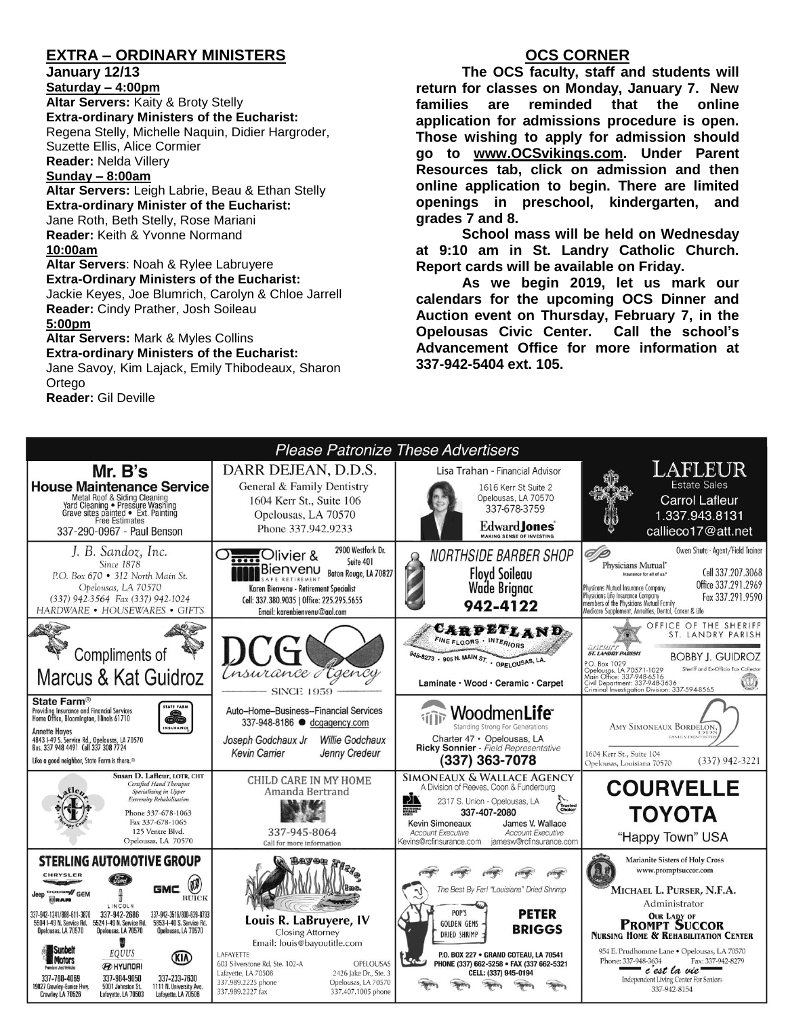## **EXTRA – ORDINARY MINISTERS**

**January 12/13**

**Saturday – 4:00pm Altar Servers:** Kaity & Broty Stelly **Extra-ordinary Ministers of the Eucharist:**  Regena Stelly, Michelle Naquin, Didier Hargroder, Suzette Ellis, Alice Cormier **Reader:** Nelda Villery

#### **Sunday – 8:00am**

**Altar Servers:** Leigh Labrie, Beau & Ethan Stelly **Extra-ordinary Minister of the Eucharist:** Jane Roth, Beth Stelly, Rose Mariani **Reader:** Keith & Yvonne Normand **10:00am Altar Servers**: Noah & Rylee Labruyere

**Extra-Ordinary Ministers of the Eucharist:** Jackie Keyes, Joe Blumrich, Carolyn & Chloe Jarrell **Reader:** Cindy Prather, Josh Soileau

#### **5:00pm**

**Altar Servers:** Mark & Myles Collins **Extra-ordinary Ministers of the Eucharist:** Jane Savoy, Kim Lajack, Emily Thibodeaux, Sharon

**Ortego** 

**Reader:** Gil Deville

### **OCS CORNER**

**The OCS faculty, staff and students will return for classes on Monday, January 7. New families are reminded that the online application for admissions procedure is open. Those wishing to apply for admission should go to [www.OCSvikings.com.](http://www.ocsvikings.com/) Under Parent Resources tab, click on admission and then online application to begin. There are limited openings in preschool, kindergarten, and grades 7 and 8.**

**School mass will be held on Wednesday at 9:10 am in St. Landry Catholic Church. Report cards will be available on Friday.**

**As we begin 2019, let us mark our calendars for the upcoming OCS Dinner and Auction event on Thursday, February 7, in the Opelousas Civic Center. Call the school's Advancement Office for more information at 337-942-5404 ext. 105.**